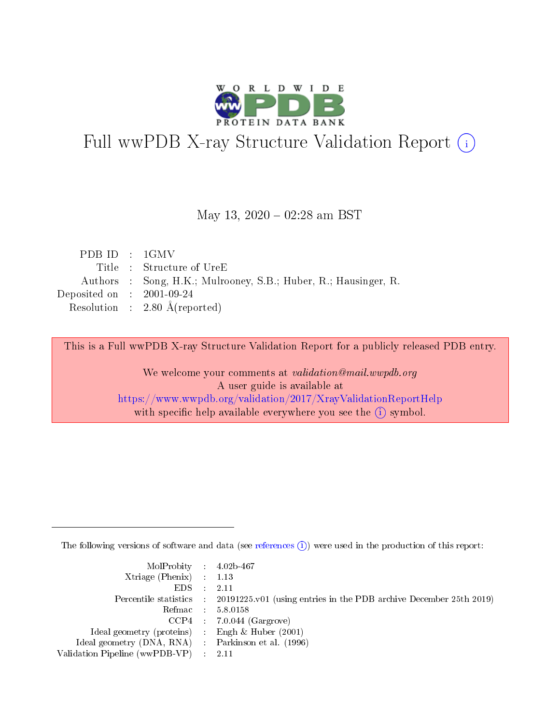

# Full wwPDB X-ray Structure Validation Report (i)

#### May 13,  $2020 - 02:28$  am BST

| PDB ID : $1$ GMV            |                                                                 |
|-----------------------------|-----------------------------------------------------------------|
|                             | Title : Structure of UreE                                       |
|                             | Authors : Song, H.K.; Mulrooney, S.B.; Huber, R.; Hausinger, R. |
| Deposited on : $2001-09-24$ |                                                                 |
|                             | Resolution : $2.80 \text{ Å}$ (reported)                        |

This is a Full wwPDB X-ray Structure Validation Report for a publicly released PDB entry.

We welcome your comments at validation@mail.wwpdb.org A user guide is available at <https://www.wwpdb.org/validation/2017/XrayValidationReportHelp> with specific help available everywhere you see the  $(i)$  symbol.

The following versions of software and data (see [references](https://www.wwpdb.org/validation/2017/XrayValidationReportHelp#references)  $(i)$ ) were used in the production of this report:

| MolProbity : 4.02b-467                              |                                                                                            |
|-----------------------------------------------------|--------------------------------------------------------------------------------------------|
| $Xtriangle (Phenix)$ : 1.13                         |                                                                                            |
| $EDS = 2.11$                                        |                                                                                            |
|                                                     | Percentile statistics : 20191225.v01 (using entries in the PDB archive December 25th 2019) |
|                                                     | Refmac : 5.8.0158                                                                          |
|                                                     | $CCP4$ 7.0.044 (Gargrove)                                                                  |
| Ideal geometry (proteins) : Engh $\&$ Huber (2001)  |                                                                                            |
| Ideal geometry (DNA, RNA) : Parkinson et al. (1996) |                                                                                            |
| Validation Pipeline (wwPDB-VP) : 2.11               |                                                                                            |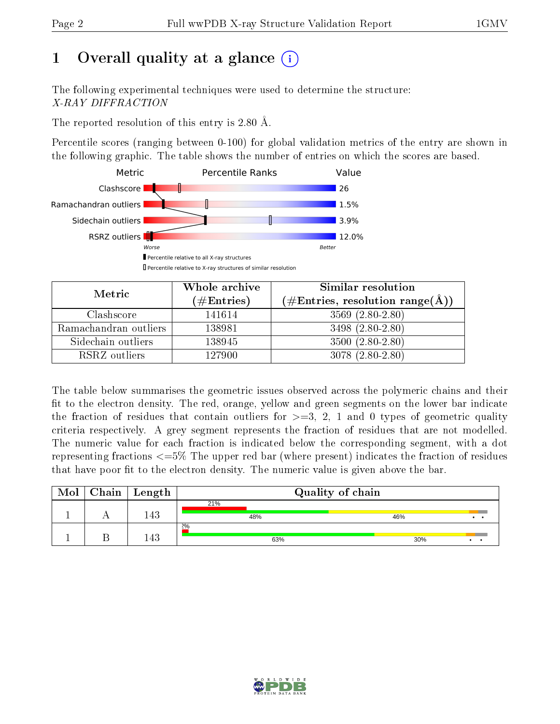# 1 [O](https://www.wwpdb.org/validation/2017/XrayValidationReportHelp#overall_quality)verall quality at a glance  $(i)$

The following experimental techniques were used to determine the structure: X-RAY DIFFRACTION

The reported resolution of this entry is 2.80 Å.

Percentile scores (ranging between 0-100) for global validation metrics of the entry are shown in the following graphic. The table shows the number of entries on which the scores are based.



| Metric                | Whole archive<br>(# $\rm{Entries}$ ) | Similar resolution<br>$(\#\text{Entries}, \text{resolution range}(\text{\AA}))$ |
|-----------------------|--------------------------------------|---------------------------------------------------------------------------------|
| Clashscore            | 141614                               | $3569$ $(2.80-2.80)$                                                            |
| Ramachandran outliers | 138981                               | $3498(2.80-2.80)$                                                               |
| Sidechain outliers    | 138945                               | $3500 (2.80 - 2.80)$                                                            |
| RSRZ outliers         | 127900                               | $3078(2.80-2.80)$                                                               |

The table below summarises the geometric issues observed across the polymeric chains and their fit to the electron density. The red, orange, yellow and green segments on the lower bar indicate the fraction of residues that contain outliers for  $\geq=3$ , 2, 1 and 0 types of geometric quality criteria respectively. A grey segment represents the fraction of residues that are not modelled. The numeric value for each fraction is indicated below the corresponding segment, with a dot representing fractions  $\epsilon=5\%$  The upper red bar (where present) indicates the fraction of residues that have poor fit to the electron density. The numeric value is given above the bar.

| Mol | Chain | Length | Quality of chain |     |     |     |
|-----|-------|--------|------------------|-----|-----|-----|
|     |       |        | 21%              |     |     |     |
|     |       | 143    |                  | 48% | 46% |     |
|     |       |        | $2\%$            |     |     |     |
|     |       | 143    |                  | 63% | 30% | . . |

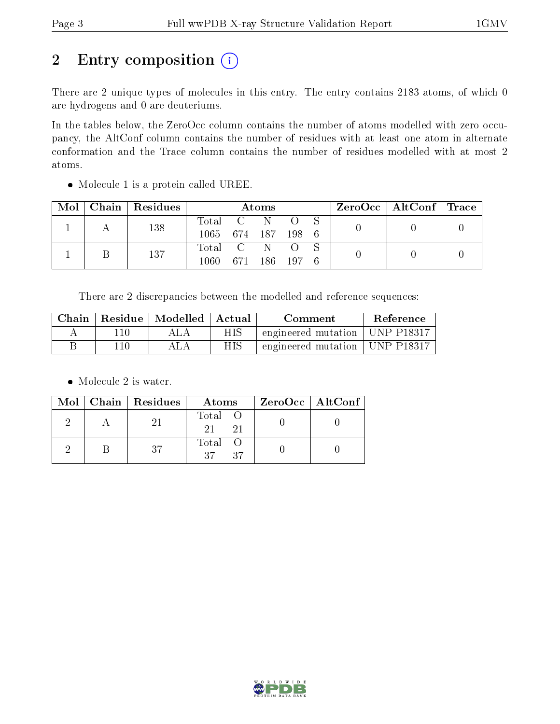# 2 Entry composition (i)

There are 2 unique types of molecules in this entry. The entry contains 2183 atoms, of which 0 are hydrogens and 0 are deuteriums.

In the tables below, the ZeroOcc column contains the number of atoms modelled with zero occupancy, the AltConf column contains the number of residues with at least one atom in alternate conformation and the Trace column contains the number of residues modelled with at most 2 atoms.

| Mol | Chain   Residues | <b>Atoms</b>       |  |               |  |  | $\text{ZeroOcc}$   AltConf   Trace |  |
|-----|------------------|--------------------|--|---------------|--|--|------------------------------------|--|
|     | 138              | Total C N O        |  |               |  |  |                                    |  |
|     |                  | 1065 674 187 198 6 |  |               |  |  |                                    |  |
|     | 137              | Total C N O        |  |               |  |  |                                    |  |
|     |                  | 1060.              |  | 671 186 197 6 |  |  |                                    |  |

• Molecule 1 is a protein called UREE.

There are 2 discrepancies between the modelled and reference sequences:

| Chain |           | $\perp$ Residue $\perp$ Modelled $\perp$ Actual |     | Comment                          | Reference |
|-------|-----------|-------------------------------------------------|-----|----------------------------------|-----------|
|       |           |                                                 | НIS | engineered mutation   UNP P18317 |           |
|       | $10^{-7}$ |                                                 | НIS | engineered mutation   UNP P18317 |           |

• Molecule 2 is water.

|  | $Mol$   Chain   Residues | Atoms                            | ZeroOcc   AltConf |
|--|--------------------------|----------------------------------|-------------------|
|  | 21                       | Total O<br>21<br>21              |                   |
|  | -37                      | Total O<br>37<br>37 <sup>7</sup> |                   |

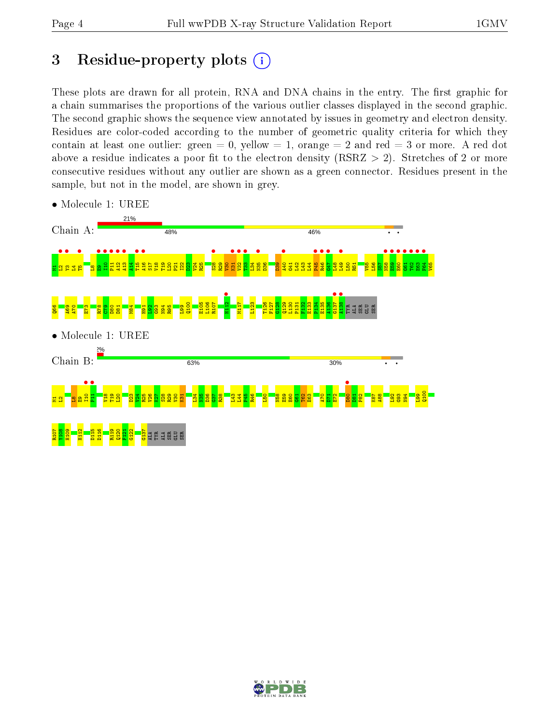# 3 Residue-property plots  $(i)$

These plots are drawn for all protein, RNA and DNA chains in the entry. The first graphic for a chain summarises the proportions of the various outlier classes displayed in the second graphic. The second graphic shows the sequence view annotated by issues in geometry and electron density. Residues are color-coded according to the number of geometric quality criteria for which they contain at least one outlier: green  $= 0$ , yellow  $= 1$ , orange  $= 2$  and red  $= 3$  or more. A red dot above a residue indicates a poor fit to the electron density (RSRZ  $> 2$ ). Stretches of 2 or more consecutive residues without any outlier are shown as a green connector. Residues present in the sample, but not in the model, are shown in grey.



• Molecule 1: UREE

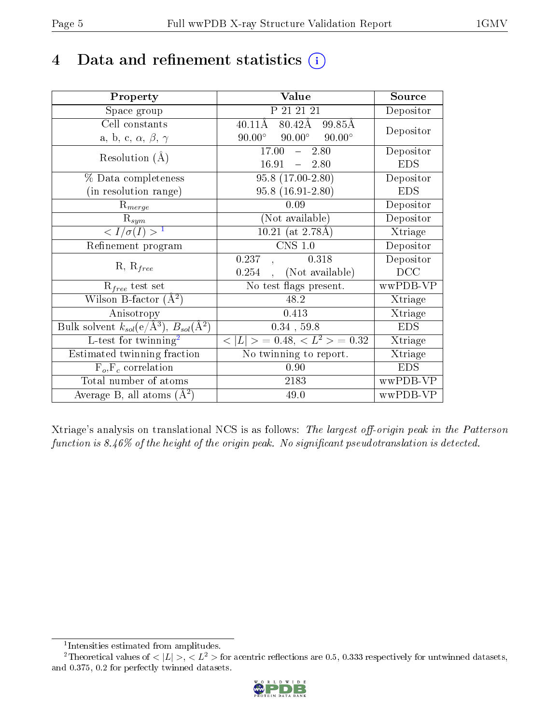# 4 Data and refinement statistics  $(i)$

| Property                                                                | Value                                            | Source     |
|-------------------------------------------------------------------------|--------------------------------------------------|------------|
| Space group                                                             | P 21 21 21                                       | Depositor  |
| Cell constants                                                          | $80.42\text{\AA}$<br>$40.11\text{\AA}$<br>99.85Å | Depositor  |
| a, b, c, $\alpha$ , $\beta$ , $\gamma$                                  | $90.00^\circ$<br>$90.00^\circ$<br>$90.00^\circ$  |            |
| Resolution $(A)$                                                        | 17.00<br>$-2.80$                                 | Depositor  |
|                                                                         | 16.91<br>$-2.80$                                 | <b>EDS</b> |
| $\%$ Data completeness                                                  | $95.8(17.00-2.80)$                               | Depositor  |
| (in resolution range)                                                   | $95.8(16.91-2.80)$                               | <b>EDS</b> |
| $R_{merge}$                                                             | 0.09                                             | Depositor  |
| $\mathrm{R}_{sym}$                                                      | (Not available)                                  | Depositor  |
| $\langle I/\sigma(I) \rangle^{-1}$                                      | $10.21$ (at 2.78Å)                               | Xtriage    |
| Refinement program                                                      | $CNS$ 1.0                                        | Depositor  |
|                                                                         | 0.318<br>0.237                                   | Depositor  |
| $R, R_{free}$                                                           | (Not available)<br>0.254                         | DCC        |
| $\mathcal{R}_{free}$ test set                                           | No test flags present.                           | wwPDB-VP   |
| Wilson B-factor $(A^2)$                                                 | 48.2                                             | Xtriage    |
| Anisotropy                                                              | 0.413                                            | Xtriage    |
| Bulk solvent $k_{sol}(\mathrm{e}/\mathrm{A}^3),\,B_{sol}(\mathrm{A}^2)$ | $0.34$ , 59.8                                    | <b>EDS</b> |
| L-test for twinning <sup>2</sup>                                        | $< L >$ = 0.48, $< L2$ = 0.32                    | Xtriage    |
| Estimated twinning fraction                                             | No twinning to report.                           | Xtriage    |
| $F_o, F_c$ correlation                                                  | 0.90                                             | <b>EDS</b> |
| Total number of atoms                                                   | 2183                                             | wwPDB-VP   |
| Average B, all atoms $(A^2)$                                            | 49.0                                             | wwPDB-VP   |

Xtriage's analysis on translational NCS is as follows: The largest off-origin peak in the Patterson function is  $8.46\%$  of the height of the origin peak. No significant pseudotranslation is detected.

<sup>&</sup>lt;sup>2</sup>Theoretical values of  $\langle |L| \rangle$ ,  $\langle L^2 \rangle$  for acentric reflections are 0.5, 0.333 respectively for untwinned datasets, and 0.375, 0.2 for perfectly twinned datasets.



<span id="page-4-1"></span><span id="page-4-0"></span><sup>1</sup> Intensities estimated from amplitudes.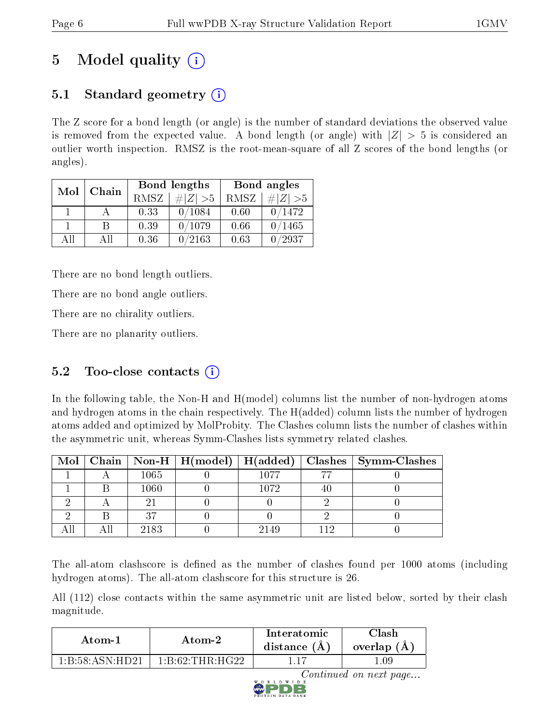# 5 Model quality  $(i)$

## 5.1 Standard geometry  $(i)$

The Z score for a bond length (or angle) is the number of standard deviations the observed value is removed from the expected value. A bond length (or angle) with  $|Z| > 5$  is considered an outlier worth inspection. RMSZ is the root-mean-square of all Z scores of the bond lengths (or angles).

| Mol          | Chain |      | Bond lengths | Bond angles |             |
|--------------|-------|------|--------------|-------------|-------------|
|              |       | RMSZ | # $ Z  > 5$  | RMSZ        | # $ Z  > 5$ |
| $\mathbf{1}$ |       | 0.33 | 0/1084       | 0.60        | 0/1472      |
|              | B     | 0.39 | 0/1079       | 0.66        | 0/1465      |
| AH           | Αll   | 0.36 | 0/2163       | 0.63        | /2937       |

There are no bond length outliers.

There are no bond angle outliers.

There are no chirality outliers.

There are no planarity outliers.

### 5.2 Too-close contacts  $(i)$

In the following table, the Non-H and H(model) columns list the number of non-hydrogen atoms and hydrogen atoms in the chain respectively. The H(added) column lists the number of hydrogen atoms added and optimized by MolProbity. The Clashes column lists the number of clashes within the asymmetric unit, whereas Symm-Clashes lists symmetry related clashes.

|  |      |      |     | Mol   Chain   Non-H   H(model)   H(added)   Clashes   Symm-Clashes |
|--|------|------|-----|--------------------------------------------------------------------|
|  | 1065 | 1077 |     |                                                                    |
|  | 1060 | 1072 | 40. |                                                                    |
|  |      |      |     |                                                                    |
|  | 97   |      |     |                                                                    |
|  | 2183 | 2149 |     |                                                                    |

The all-atom clashscore is defined as the number of clashes found per 1000 atoms (including hydrogen atoms). The all-atom clashscore for this structure is 26.

All (112) close contacts within the same asymmetric unit are listed below, sorted by their clash magnitude.

| Atom-1                                      |                                           | Interatomic    | Clash       |
|---------------------------------------------|-------------------------------------------|----------------|-------------|
| Atom-2                                      |                                           | distance $(A)$ | overlap (A) |
| $1 \cdot R \cdot 58 \cdot A SN \cdot H D21$ | $1 \cdot R \cdot 62 \cdot THR \cdot HCD2$ |                | .09         |

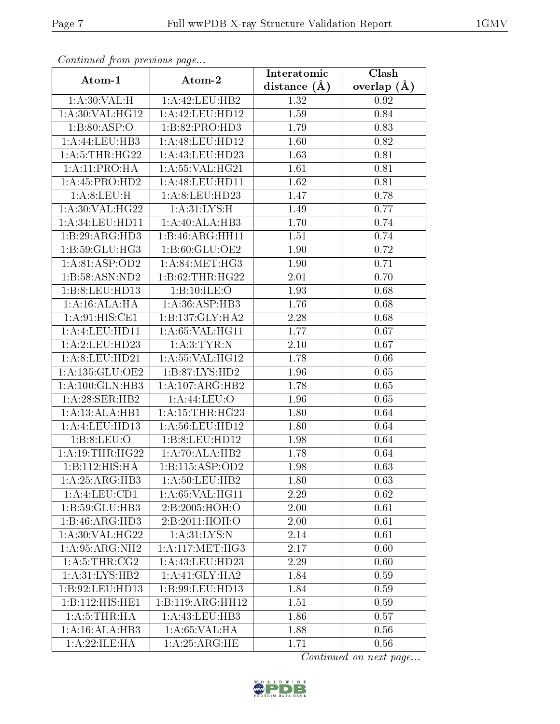| Commaca from previous page |                    | Interatomic    | $\overline{\text{Clash}}$ |
|----------------------------|--------------------|----------------|---------------------------|
| Atom-1                     | Atom-2             | distance $(A)$ | overlap $(A)$             |
| 1: A:30: VAL:H             | 1:A:42:LEU:HB2     | 1.32           | 0.92                      |
| 1:A:30:VAL:HG12            | 1:A:42:LEU:HD12    | 1.59           | 0.84                      |
| 1:B:80:ASP:O               | 1:B:82:PRO:HD3     | 1.79           | 0.83                      |
| 1:A:44:LEU:HB3             | 1: A:48: LEU: HD12 | 1.60           | 0.82                      |
| 1: A:5:THR:HG22            | 1: A:43: LEU:HD23  | 1.63           | 0.81                      |
| 1:A:11:PRO:HA              | 1: A:55: VAL:HG21  | 1.61           | 0.81                      |
| 1:A:45:PRO:HD2             | 1: A:48: LEU: HD11 | 1.62           | 0.81                      |
| 1: A:8: LEU:H              | 1:A:8:LEU:HD23     | 1.47           | 0.78                      |
| 1:A:30:VAL:HG22            | 1: A:31: LYS:H     | 1.49           | 0.77                      |
| 1: A:34:LEU:HD11           | 1:A:40:ALA:HB3     | 1.70           | 0.74                      |
| 1:B:29:ARG:HD3             | 1:B:46:ARG:HH11    | 1.51           | 0.74                      |
| 1:B:59:GLU:HG3             | 1:B:60:GLU:OE2     | 1.90           | 0.72                      |
| 1:A:81:ASP:OD2             | 1: A:84: MET:HG3   | 1.90           | 0.71                      |
| 1:B:58:ASN:ND2             | 1:B:62:THR:HG22    | 2.01           | 0.70                      |
| 1:B:8:LEU:HD13             | 1:B:10:ILE:O       | 1.93           | 0.68                      |
| 1: A:16: ALA: HA           | 1: A:36: ASP:HB3   | 1.76           | 0.68                      |
| 1: A:91: HIS: CE1          | 1:B:137:GLY:HA2    | 2.28           | 0.68                      |
| 1:A:4:LEU:HD11             | 1: A:65: VAL:HGI1  | 1.77           | 0.67                      |
| 1:A:2:LEU:HD23             | 1: A:3: TYR: N     | 2.10           | 0.67                      |
| 1: A:8: LEU: HD21          | 1: A:55: VAL:HG12  | 1.78           | 0.66                      |
| 1:A:135:GLU:OE2            | 1: B:87: LYS: HD2  | 1.96           | 0.65                      |
| 1:A:100:GLN:HB3            | 1:A:107:ARG:HB2    | 1.78           | 0.65                      |
| 1:A:28:SER:HB2             | 1: A:44:LEU:O      | 1.96           | 0.65                      |
| 1:A:13:ALA:HB1             | 1: A:15:THR:HG23   | 1.80           | 0.64                      |
| 1:A:4:LEU:HD13             | 1: A:56:LEU:HD12   | 1.80           | 0.64                      |
| 1:B:8:LEU:O                | 1:B:8:LEU:HD12     | 1.98           | 0.64                      |
| 1: A: 19: THR: HG22        | 1:A:70:ALA:HB2     | 1.78           | 0.64                      |
| 1:B:112:HIS:HA             | 1:B:115:ASP:OD2    | 1.98           | 0.63                      |
| 1:A:25:ARG:HB3             | 1: A:50: LEU: HB2  | 1.80           | 0.63                      |
| $1:$ A: $4:$ LEU: $CD1$    | 1:A:65:VAL:HG11    | 2.29           | 0.62                      |
| 1:B:59:GLU:HB3             | 2:B:2005:HOH:O     | 2.00           | 0.61                      |
| 1:B:46:ARG:HD3             | 2:B:2011:HOH:O     | 2.00           | 0.61                      |
| 1:A:30:VAL:HG22            | 1: A:31:LYS:N      | 2.14           | 0.61                      |
| 1:A:95:ARG:NH2             | 1: A:117: MET:HG3  | 2.17           | 0.60                      |
| 1: A:5:THR:CG2             | 1: A:43:LEU:HD23   | 2.29           | 0.60                      |
| 1: A:31: LYS: HB2          | 1: A:41: GLY: HA2  | 1.84           | 0.59                      |
| 1:B:92:LEU:HD13            | 1:B:99:LEU:HD13    | 1.84           | 0.59                      |
| 1:B:112:HIS:HE1            | 1:B:119:ARG:HH12   | 1.51           | 0.59                      |
| 1: A:5:THR:HA              | 1: A: 43: LEU: HB3 | 1.86           | 0.57                      |
| 1:A:16:ALA:HB3             | 1: A:65:VAL:HA     | 1.88           | 0.56                      |
| 1:A:22:ILE:HA              | 1: A:25: ARG: HE   | 1.71           | 0.56                      |

Continued from previous page.

Continued on next page...

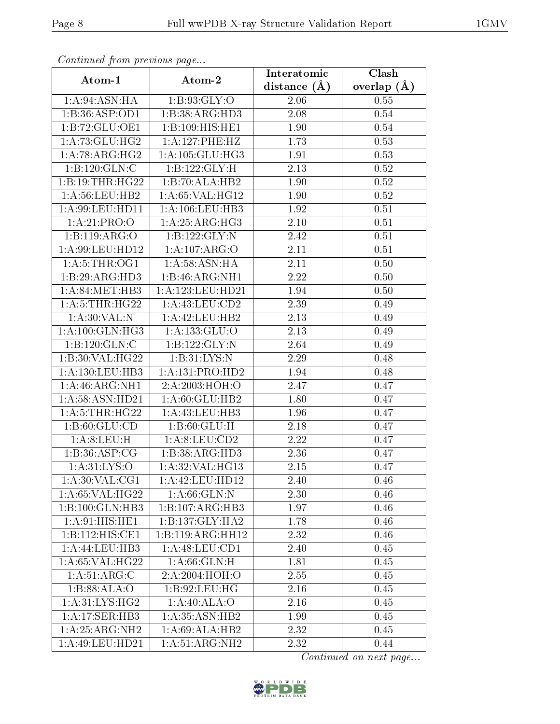| Continuata from previous page     |                             | Interatomic       | Clash         |  |
|-----------------------------------|-----------------------------|-------------------|---------------|--|
| Atom-1                            | Atom-2                      | distance $(\AA)$  | overlap $(A)$ |  |
| 1: A:94: ASN: HA                  | 1: B:93: GLY:O              | 2.06              | 0.55          |  |
| 1:B:36:ASP:OD1                    | 1:B:38:ARG:HD3              | 2.08              | 0.54          |  |
| 1:B:72:GLU:OE1                    | 1:B:109:HIS:HE1             | 1.90              | 0.54          |  |
| 1: A:73: GLU:HG2                  | 1:A:127:PHE:HZ              | 1.73              | 0.53          |  |
| 1:A:78:ARG:HG2                    | 1:A:105:GLU:HG3             | 1.91              | 0.53          |  |
| 1:B:120:GLN:C                     | 1:B:122:GLY:H               | 2.13              | 0.52          |  |
| 1:B:19:THR:HG22                   | 1:B:70:ALA:HB2              | 1.90              | $0.52\,$      |  |
| 1: A:56:LEU:HB2                   | 1: A:65: VAL:HG12           | 1.90              | 0.52          |  |
| 1: A:99: LEU: HD11                | 1: A: 106: LEU: HB3         | 1.92              | 0.51          |  |
| 1:A:21:PRO:O                      | 1: A:25: ARG:HG3            | 2.10              | 0.51          |  |
| 1:B:119:ARG:O                     | 1:B:122:GLY:N               | 2.42              | 0.51          |  |
| $1:$ A:99:LEU:HD12                | 1:A:107:ARG:O               | 2.11              | 0.51          |  |
| 1: A: 5: THE: OGI                 | 1: A:58: ASN: HA            | 2.11              | 0.50          |  |
| 1:B:29:ARG:HD3                    | 1:B:46:ARG:NH1              | $\overline{2.22}$ | 0.50          |  |
| 1: A:84:MET:HB3                   | 1:A:123:LEU:HD21            | 1.94              | 0.50          |  |
| 1: A:5:THR:HG22                   | 1:A:43:LEU:CD2              | 2.39              | 0.49          |  |
| 1: A:30: VAL:N                    | 1:A:42:LEU:HB2              | 2.13              | 0.49          |  |
| 1: A:100: GLN: HG3                | 1:A:133:GLU:O               | 2.13              | 0.49          |  |
| 1:B:120:GLN:C                     | 1:B:122:GLY:N               | 2.64              | 0.49          |  |
| 1:B:30:VAL:HG22                   | 1: B:31: LYS:N              | 2.29              | 0.48          |  |
| 1:A:130:LEU:HB3                   | 1:A:131:PRO:HD2             | 1.94              | 0.48          |  |
| 1: A:46: ARG: NH1                 | $2:A:2003:\overline{HOH:O}$ | 2.47              | 0.47          |  |
| 1: A:58: ASN:HD21                 | 1: A:60: GLU:HB2            | 1.80              | 0.47          |  |
| 1: A:5:THR:HG22                   | 1:A:43:LEU:HB3              | 1.96              | 0.47          |  |
| 1:B:60:GLU:CD                     | 1: B:60: GLU: H             | 2.18              | 0.47          |  |
| 1:A:8:LEU:H                       | 1: A:8: LEU:CD2             | $\overline{2.22}$ | 0.47          |  |
| 1: B:36: ASP:CG                   | 1:B:38:ARG:HD3              | 2.36              | 0.47          |  |
| $1: A:31:\overline{\text{LYS:O}}$ | 1:A:32:VAL:HG13             | 2.15              | 0.47          |  |
| $1: A:30: VAL: \overline{CG1}$    | 1:A:42:LEU:HD12             | 2.40              | 0.46          |  |
| 1:A:65:VAL:HG22                   | 1: A:66: GLN:N              | 2.30              | 0.46          |  |
| 1:B:100:GLN:HB3                   | 1:B:107:ARG:HB3             | 1.97              | 0.46          |  |
| 1:A:91:HIS:HE1                    | 1:B:137:GLY:HA2             | 1.78              | 0.46          |  |
| 1:B:112:HIS:CE1                   | 1:B:119:ARG:HH12            | 2.32              | 0.46          |  |
| 1:A:44:LEU:HB3                    | 1:A:48:LEU:CD1              | 2.40              | 0.45          |  |
| 1: A:65: VAL:HG22                 | 1: A:66: GLN:H              | 1.81              | 0.45          |  |
| 1:A:51:ARG:C                      | 2: A:2004:HOH:O             | 2.55              | 0.45          |  |
| 1:B:88:ALA:O                      | 1:B:92:LEU:HG               | 2.16              | 0.45          |  |
| 1: A:31: LYS: HG2                 | 1: A:40: ALA:O              | 2.16              | 0.45          |  |
| 1:A:17:SER:HB3                    | $1:A:35:ASN:H\overline{B2}$ | 1.99              | 0.45          |  |
| 1:A:25:ARG:NH2                    | 1:A:69:ALA:HB2              | 2.32              | 0.45          |  |
| 1: A:49: LEU:HD21                 | 1: A:51: ARG:NH2            | 2.32              | 0.44          |  |

Continued from previous page.

Continued on next page...

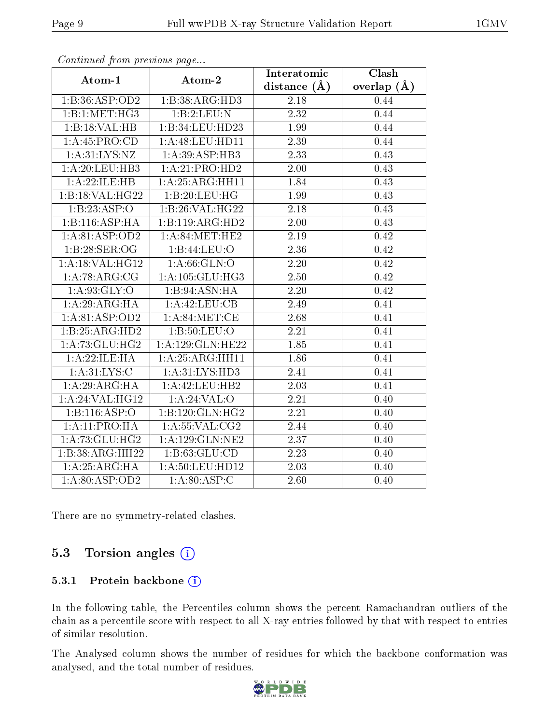| . <i>. .</i>       | $\cdots$ $\cdots$ $\cdots$ | Interatomic       | <b>Clash</b>  |
|--------------------|----------------------------|-------------------|---------------|
| Atom-1             | Atom-2                     | distance $(\AA)$  | overlap $(A)$ |
| 1:B:36:ASP:OD2     | 1:B:38:ARG:HD3             | 2.18              | 0.44          |
| 1:B:1:MET:HG3      | 1:B:2:LEU:N                | $\overline{2.32}$ | 0.44          |
| 1:B:18:VAL:HB      | 1:B:34:LEU:HD23            | 1.99              | 0.44          |
| 1: A: 45: PRO:CD   | 1:A:48:LEU:HD11            | 2.39              | 0.44          |
| 1: A:31:LYS:NZ     | 1:A:39:ASP:HB3             | 2.33              | 0.43          |
| 1: A:20: LEU:HB3   | 1:A:21:PRO:HD2             | 2.00              | 0.43          |
| 1:A:22:ILE:HB      | 1:A:25:ARG:HH11            | 1.84              | 0.43          |
| 1:B:18:VAL:H G22   | 1:B:20:LEU:HG              | 1.99              | 0.43          |
| 1:B:23:ASP:O       | 1:B:26:VAL:H G22           | 2.18              | 0.43          |
| 1:B:116:ASP:HA     | 1:B:119:ARG:HD2            | 2.00              | 0.43          |
| 1:A:81:ASP:OD2     | 1: A:84:MET:HE2            | 2.19              | 0.42          |
| 1:B:28:SER:OG      | 1:B:44:LEU:O               | 2.36              | 0.42          |
| 1:A:18:VAL:HG12    | 1: A:66: GLN:O             | 2.20              | 0.42          |
| 1: A:78: ARG: CG   | 1: A: 105: GLU: HG3        | 2.50              | 0.42          |
| 1: A:93: GLY:O     | 1:B:94:ASN:HA              | 2.20              | 0.42          |
| 1: A:29: ARG: HA   | 1: A: 42: LEU: CB          | 2.49              | 0.41          |
| 1:A:81:ASP:OD2     | 1: A:84:MET:CE             | 2.68              | 0.41          |
| 1:B:25:ARG:HD2     | $1: B: 50:$ LEU: $O$       | 2.21              | 0.41          |
| 1: A: 73: GLU: HG2 | 1:A:129:GLN:HE22           | 1.85              | 0.41          |
| 1:A:22:ILE:HA      | 1:A:25:ARG:HH11            | 1.86              | 0.41          |
| 1: A:31:LYS:C      | 1:A:31:LYS:HD3             | 2.41              | 0.41          |
| 1:A:29:ARG:HA      | 1: A:42: LEU:HB2           | 2.03              | 0.41          |
| 1:A:24:VAL:HG12    | 1: A:24:VAL:               | 2.21              | 0.40          |
| 1:B:116:ASP:O      | 1:B:120:GLN:HG2            | 2.21              | 0.40          |
| 1:A:11:PRO:HA      | 1: A: 55: VAL: CG2         | 2.44              | 0.40          |
| 1: A:73: GLU: HG2  | 1:A:129:GLN:NE2            | 2.37              | 0.40          |
| 1:B:38:ARG:HH22    | 1: B: 63: GLU: CD          | 2.23              | 0.40          |
| 1: A:25: ARG: HA   | 1:A:50:LEU:HD12            | 2.03              | 0.40          |
| 1:A:80:ASP:OD2     | $1:A:80:\overline{ASP:C}$  | 2.60              | 0.40          |

Continued from previous page...

There are no symmetry-related clashes.

### 5.3 Torsion angles (i)

#### 5.3.1 Protein backbone (i)

In the following table, the Percentiles column shows the percent Ramachandran outliers of the chain as a percentile score with respect to all X-ray entries followed by that with respect to entries of similar resolution.

The Analysed column shows the number of residues for which the backbone conformation was analysed, and the total number of residues.

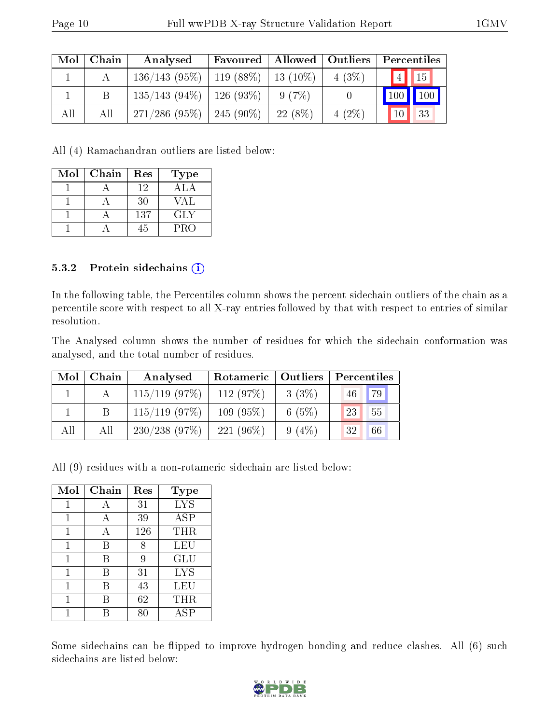| $\rm{Mol}$ | Chain | Analysed                                  | Favoured   Allowed   Outliers |           |          | Percentiles                    |
|------------|-------|-------------------------------------------|-------------------------------|-----------|----------|--------------------------------|
|            |       | $136/143$ (95\%)   119 (88\%)   13 (10\%) |                               |           | 4(3%)    | $\vert 4 \vert \vert 15 \vert$ |
|            |       | $135/143$ (94\%)   126 (93\%)             |                               | 9(7%)     |          | 100   100                      |
| All        | All   | $271/286$ (95\%)   245 (90\%)             |                               | $22(8\%)$ | $4(2\%)$ | 10 <sup>1</sup><br>33          |

All (4) Ramachandran outliers are listed below:

| Mol | Chain | Res | <b>Type</b> |
|-----|-------|-----|-------------|
|     |       | 12  | A L A       |
|     |       | 30  | VAL         |
|     |       | 137 | GLY         |
|     |       | 45  | <b>PRO</b>  |

#### 5.3.2 Protein sidechains (i)

In the following table, the Percentiles column shows the percent sidechain outliers of the chain as a percentile score with respect to all X-ray entries followed by that with respect to entries of similar resolution.

The Analysed column shows the number of residues for which the sidechain conformation was analysed, and the total number of residues.

| Mol | Chain | Analysed         | Rotameric   Outliers |          | Percentiles |
|-----|-------|------------------|----------------------|----------|-------------|
|     |       | $115/119$ (97\%) | 112 $(97%)$          | $3(3\%)$ | 79<br>46    |
|     |       | $115/119$ (97\%) | $109(95\%)$          | 6 $(5%)$ | 55<br>23    |
| All | All   | 230/238(97%)     | $221(96\%)$          | $9(4\%)$ | 66<br>32    |

All (9) residues with a non-rotameric sidechain are listed below:

| Mol | Chain | Res | <b>Type</b> |
|-----|-------|-----|-------------|
| 1   | А     | 31  | <b>LYS</b>  |
|     | А     | 39  | ASP         |
|     | А     | 126 | THR         |
| 1   | В     | 8   | LEU         |
| 1   | В     | 9   | GLU         |
|     | В     | 31  | <b>LYS</b>  |
|     | В     | 43  | LEU         |
|     | В     | 62  | THR         |
|     |       |     | ASP         |

Some sidechains can be flipped to improve hydrogen bonding and reduce clashes. All (6) such sidechains are listed below:

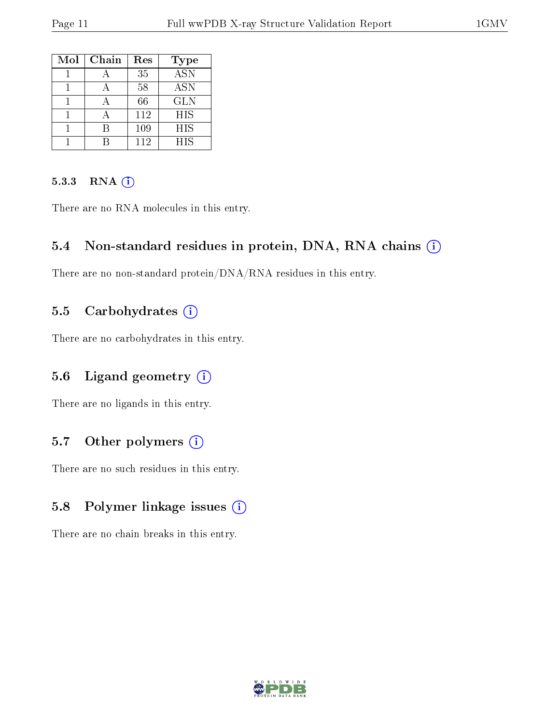| Mol | Chain | Res | <b>Type</b>      |
|-----|-------|-----|------------------|
|     |       | 35  | $\overline{ASN}$ |
|     |       | 58  | <b>ASN</b>       |
|     |       | 66  | <b>GLN</b>       |
|     |       | 112 | <b>HIS</b>       |
|     |       | 109 | HIS              |
|     |       | 112 | <b>HIS</b>       |

#### 5.3.3 RNA (1)

There are no RNA molecules in this entry.

#### 5.4 Non-standard residues in protein, DNA, RNA chains (i)

There are no non-standard protein/DNA/RNA residues in this entry.

#### 5.5 Carbohydrates  $(i)$

There are no carbohydrates in this entry.

#### 5.6 Ligand geometry (i)

There are no ligands in this entry.

#### 5.7 [O](https://www.wwpdb.org/validation/2017/XrayValidationReportHelp#nonstandard_residues_and_ligands)ther polymers  $(i)$

There are no such residues in this entry.

### 5.8 Polymer linkage issues (i)

There are no chain breaks in this entry.

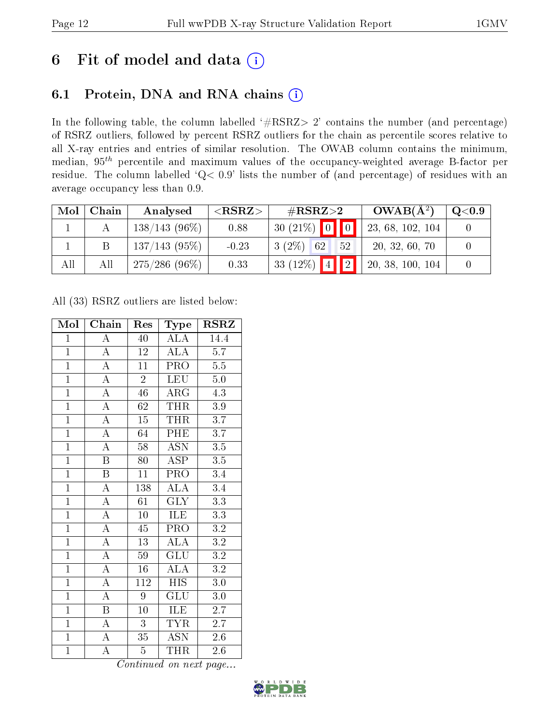# 6 Fit of model and data  $(i)$

### 6.1 Protein, DNA and RNA chains  $(i)$

In the following table, the column labelled  $#RSRZ> 2'$  contains the number (and percentage) of RSRZ outliers, followed by percent RSRZ outliers for the chain as percentile scores relative to all X-ray entries and entries of similar resolution. The OWAB column contains the minimum, median,  $95<sup>th</sup>$  percentile and maximum values of the occupancy-weighted average B-factor per residue. The column labelled ' $Q< 0.9$ ' lists the number of (and percentage) of residues with an average occupancy less than 0.9.

| Mol | Chain | Analysed        | ${ <\hspace{-1.5pt}{\mathrm{RSRZ}} \hspace{-1.5pt}>}$ | # $RSRZ>2$           | $OWAB(A^2)$      | $\rm Q\textcolor{black}{<}0.9$ |
|-----|-------|-----------------|-------------------------------------------------------|----------------------|------------------|--------------------------------|
|     |       | $138/143(96\%)$ | 0.88                                                  | $30(21\%)$ 0 0       | 23, 68, 102, 104 |                                |
|     |       | 137/143(95%)    | $-0.23$                                               | $3(2\%)$<br>62<br>52 | 20, 32, 60, 70   |                                |
| All | All   | $275/286(96\%)$ | 0.33                                                  | $133(12\%)$ 4 2      | 20, 38, 100, 104 |                                |

All (33) RSRZ outliers are listed below:

| Mol            | Chain                   | Res             | $_{\rm Type}$             | $\rm RSRZ$       |
|----------------|-------------------------|-----------------|---------------------------|------------------|
| $\mathbf{1}$   | $\overline{A}$          | 40              | ALA                       | 14.4             |
| $\overline{1}$ | $\boldsymbol{A}$        | 12              | <b>ALA</b>                | 5.7              |
| $\overline{1}$ | $\overline{\rm A}$      | 11              | PRO                       | 5.5              |
| $\overline{1}$ | $\overline{\rm A}$      | $\overline{2}$  | <b>LEU</b>                | $\overline{5.0}$ |
| $\overline{1}$ | $\overline{A}$          | $\overline{46}$ | $\rm{ARG}$                | $\overline{4.3}$ |
| $\overline{1}$ | $\overline{\rm A}$      | 62              | <b>THR</b>                | 3.9              |
| $\overline{1}$ | $\overline{\mathbf{A}}$ | $\overline{15}$ | <b>THR</b>                | $\overline{3.7}$ |
| $\overline{1}$ | $\overline{A}$          | 64              | PHE                       | $\overline{3.7}$ |
| $\overline{1}$ | $\overline{\rm A}$      | 58              | $\overline{\text{ASN}}$   | $\overline{3.5}$ |
| $\overline{1}$ | $\overline{\mathrm{B}}$ | 80              | $\overline{\text{ASP}}$   | $\overline{3.5}$ |
| $\overline{1}$ | $\overline{B}$          | 11              | PRO                       | 3.4              |
| $\overline{1}$ | $\overline{\rm A}$      | 138             | $\overline{\text{ALA}}$   | $\overline{3.4}$ |
| $\overline{1}$ | $\overline{\rm A}$      | $\overline{61}$ | $\overline{\text{GLY}}$   | $\overline{3.3}$ |
| $\mathbf{1}$   | $\overline{\rm A}$      | $\overline{10}$ | <b>ILE</b>                | $\overline{3.3}$ |
| $\overline{1}$ | $\overline{A}$          | $\overline{45}$ | $\overline{\text{PRO}}$   | $\overline{3.2}$ |
| $\overline{1}$ | $\overline{\rm A}$      | $\overline{13}$ | $\overline{\rm ALA}$      | $\overline{3.2}$ |
| $\overline{1}$ | $\overline{A}$          | 59              | $\overline{\mathrm{GLU}}$ | $\overline{3.2}$ |
| $\overline{1}$ | $\overline{\rm A}$      | 16              | $\overline{\text{ALA}}$   | $\overline{3.2}$ |
| $\overline{1}$ | $\overline{\rm A}$      | 112             | <b>HIS</b>                | $\overline{3.0}$ |
| $\mathbf{1}$   | $\overline{\rm A}$      | 9               | GLU                       | $3.0\,$          |
| $\overline{1}$ | $\overline{B}$          | 10              | <b>ILE</b>                | 2.7              |
| $\overline{1}$ | $\overline{A}$          | $\overline{3}$  | <b>TYR</b>                | 2.7              |
| $\overline{1}$ | $\overline{A}$          | 35              | <b>ASN</b>                | 2.6              |
| $\overline{1}$ | $\overline{\rm A}$      | $\overline{5}$  | THR                       | 2.6              |

Continued on next page...